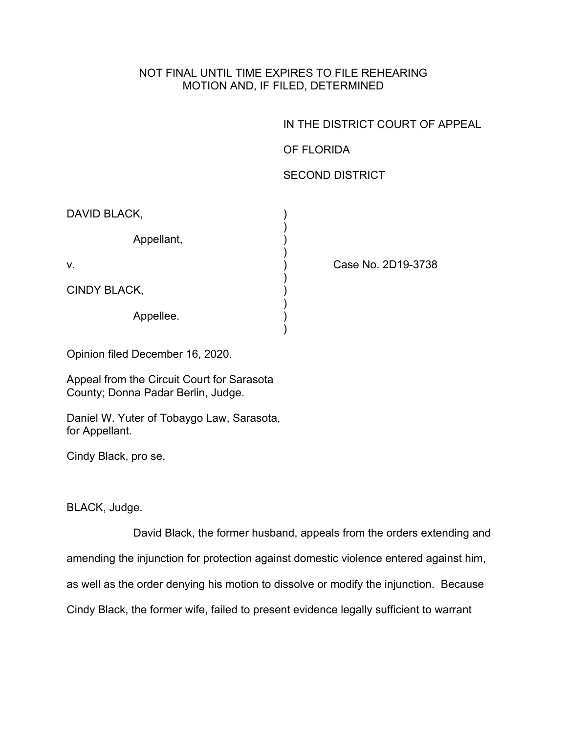## NOT FINAL UNTIL TIME EXPIRES TO FILE REHEARING MOTION AND, IF FILED, DETERMINED

IN THE DISTRICT COURT OF APPEAL

OF FLORIDA

## SECOND DISTRICT

| DAVID BLACK, |  |
|--------------|--|
| Appellant,   |  |
| V.           |  |
| CINDY BLACK, |  |
| Appellee.    |  |

Case No. 2D19-3738

Opinion filed December 16, 2020.

Appeal from the Circuit Court for Sarasota County; Donna Padar Berlin, Judge.

Daniel W. Yuter of Tobaygo Law, Sarasota, for Appellant.

Cindy Black, pro se.

BLACK, Judge.

David Black, the former husband, appeals from the orders extending and

amending the injunction for protection against domestic violence entered against him,

as well as the order denying his motion to dissolve or modify the injunction. Because

Cindy Black, the former wife, failed to present evidence legally sufficient to warrant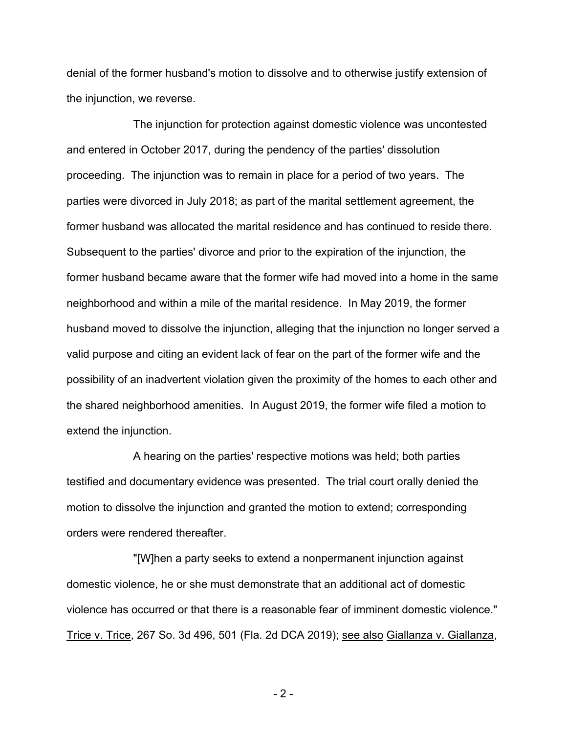denial of the former husband's motion to dissolve and to otherwise justify extension of the injunction, we reverse.

The injunction for protection against domestic violence was uncontested and entered in October 2017, during the pendency of the parties' dissolution proceeding. The injunction was to remain in place for a period of two years. The parties were divorced in July 2018; as part of the marital settlement agreement, the former husband was allocated the marital residence and has continued to reside there. Subsequent to the parties' divorce and prior to the expiration of the injunction, the former husband became aware that the former wife had moved into a home in the same neighborhood and within a mile of the marital residence. In May 2019, the former husband moved to dissolve the injunction, alleging that the injunction no longer served a valid purpose and citing an evident lack of fear on the part of the former wife and the possibility of an inadvertent violation given the proximity of the homes to each other and the shared neighborhood amenities. In August 2019, the former wife filed a motion to extend the injunction.

A hearing on the parties' respective motions was held; both parties testified and documentary evidence was presented. The trial court orally denied the motion to dissolve the injunction and granted the motion to extend; corresponding orders were rendered thereafter.

"[W]hen a party seeks to extend a nonpermanent injunction against domestic violence, he or she must demonstrate that an additional act of domestic violence has occurred or that there is a reasonable fear of imminent domestic violence." Trice v. Trice, 267 So. 3d 496, 501 (Fla. 2d DCA 2019); see also Giallanza v. Giallanza,

- 2 -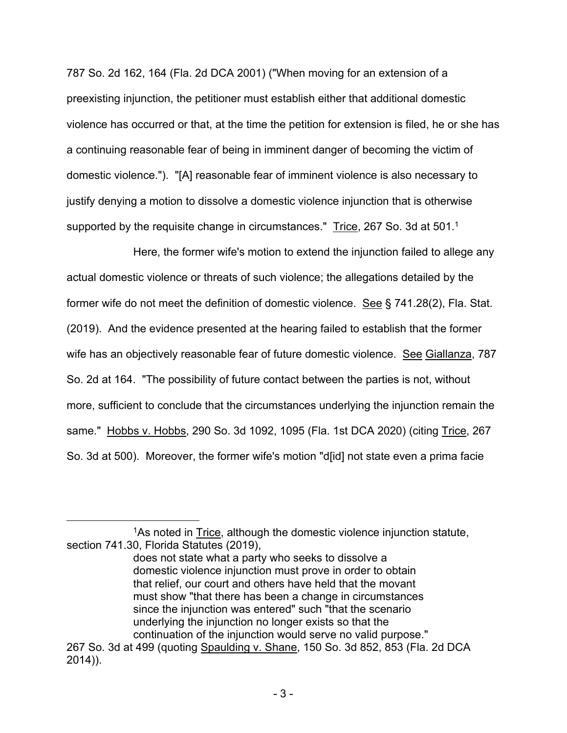787 So. 2d 162, 164 (Fla. 2d DCA 2001) ("When moving for an extension of a preexisting injunction, the petitioner must establish either that additional domestic violence has occurred or that, at the time the petition for extension is filed, he or she has a continuing reasonable fear of being in imminent danger of becoming the victim of domestic violence."). "[A] reasonable fear of imminent violence is also necessary to justify denying a motion to dissolve a domestic violence injunction that is otherwise supported by the requisite change in circumstances." Trice, 267 So. 3d at 501.<sup>1</sup>

Here, the former wife's motion to extend the injunction failed to allege any actual domestic violence or threats of such violence; the allegations detailed by the former wife do not meet the definition of domestic violence. See § 741.28(2), Fla. Stat. (2019). And the evidence presented at the hearing failed to establish that the former wife has an objectively reasonable fear of future domestic violence. See Giallanza, 787 So. 2d at 164. "The possibility of future contact between the parties is not, without more, sufficient to conclude that the circumstances underlying the injunction remain the same." Hobbs v. Hobbs, 290 So. 3d 1092, 1095 (Fla. 1st DCA 2020) (citing Trice, 267 So. 3d at 500). Moreover, the former wife's motion "d[id] not state even a prima facie

<sup>1</sup>As noted in Trice, although the domestic violence injunction statute, section 741.30, Florida Statutes (2019),

does not state what a party who seeks to dissolve a domestic violence injunction must prove in order to obtain that relief, our court and others have held that the movant must show "that there has been a change in circumstances since the injunction was entered" such "that the scenario underlying the injunction no longer exists so that the continuation of the injunction would serve no valid purpose." 267 So. 3d at 499 (quoting Spaulding v. Shane, 150 So. 3d 852, 853 (Fla. 2d DCA

<sup>2014)).</sup>